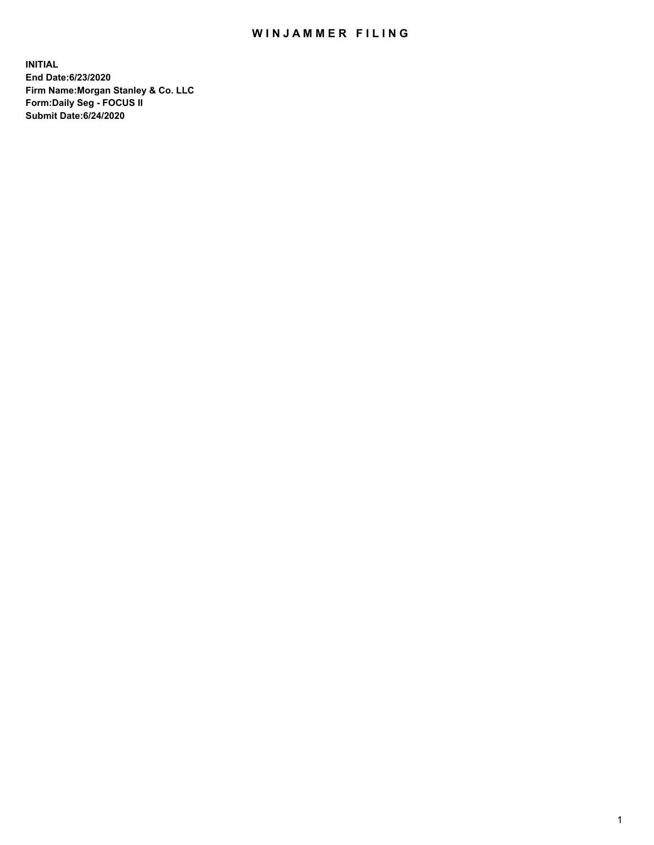## WIN JAMMER FILING

**INITIAL End Date:6/23/2020 Firm Name:Morgan Stanley & Co. LLC Form:Daily Seg - FOCUS II Submit Date:6/24/2020**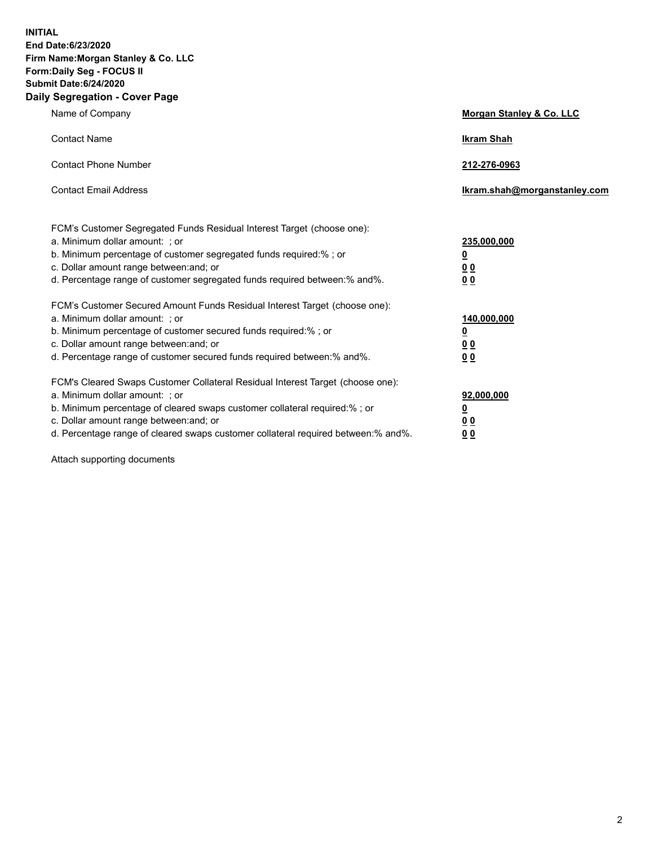**INITIAL End Date:6/23/2020 Firm Name:Morgan Stanley & Co. LLC Form:Daily Seg - FOCUS II Submit Date:6/24/2020 Daily Segregation - Cover Page**

| Name of Company                                                                                                                                                                                                                                                                                                                | Morgan Stanley & Co. LLC                               |
|--------------------------------------------------------------------------------------------------------------------------------------------------------------------------------------------------------------------------------------------------------------------------------------------------------------------------------|--------------------------------------------------------|
| <b>Contact Name</b>                                                                                                                                                                                                                                                                                                            | <b>Ikram Shah</b>                                      |
| <b>Contact Phone Number</b>                                                                                                                                                                                                                                                                                                    | 212-276-0963                                           |
| <b>Contact Email Address</b>                                                                                                                                                                                                                                                                                                   | Ikram.shah@morganstanley.com                           |
| FCM's Customer Segregated Funds Residual Interest Target (choose one):<br>a. Minimum dollar amount: ; or<br>b. Minimum percentage of customer segregated funds required:% ; or<br>c. Dollar amount range between: and; or<br>d. Percentage range of customer segregated funds required between: % and %.                       | 235,000,000<br><u>0</u><br>00<br>0 <sub>0</sub>        |
| FCM's Customer Secured Amount Funds Residual Interest Target (choose one):<br>a. Minimum dollar amount: ; or<br>b. Minimum percentage of customer secured funds required:%; or<br>c. Dollar amount range between: and; or<br>d. Percentage range of customer secured funds required between:% and%.                            | 140,000,000<br><u>0</u><br><u>00</u><br>0 <sub>0</sub> |
| FCM's Cleared Swaps Customer Collateral Residual Interest Target (choose one):<br>a. Minimum dollar amount: ; or<br>b. Minimum percentage of cleared swaps customer collateral required:% ; or<br>c. Dollar amount range between: and; or<br>d. Percentage range of cleared swaps customer collateral required between:% and%. | 92,000,000<br><u>0</u><br><u>00</u><br>0 <sub>0</sub>  |

Attach supporting documents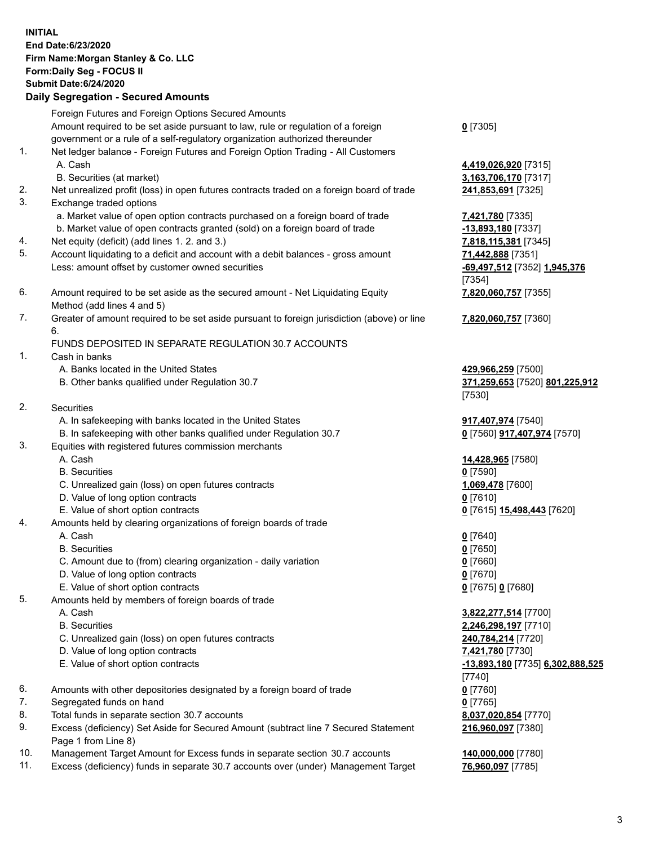## **INITIAL End Date:6/23/2020 Firm Name:Morgan Stanley & Co. LLC Form:Daily Seg - FOCUS II Submit Date:6/24/2020 Daily Segregation - Secured Amounts** Foreign Futures and Foreign Options Secured Amounts Amount required to be set aside pursuant to law, rule or regulation of a foreign government or a rule of a self-regulatory organization authorized thereunder 1. Net ledger balance - Foreign Futures and Foreign Option Trading - All Customers A. Cash **4,419,026,920** [7315]

- B. Securities (at market) **3,163,706,170** [7317]
- 2. Net unrealized profit (loss) in open futures contracts traded on a foreign board of trade **241,853,691** [7325]
- 3. Exchange traded options
	- a. Market value of open option contracts purchased on a foreign board of trade **7,421,780** [7335]
	- b. Market value of open contracts granted (sold) on a foreign board of trade **-13,893,180** [7337]
- 4. Net equity (deficit) (add lines 1. 2. and 3.) **7,818,115,381** [7345]
- 5. Account liquidating to a deficit and account with a debit balances gross amount **71,442,888** [7351] Less: amount offset by customer owned securities **-69,497,512** [7352] **1,945,376**
- 6. Amount required to be set aside as the secured amount Net Liquidating Equity Method (add lines 4 and 5)
- 7. Greater of amount required to be set aside pursuant to foreign jurisdiction (above) or line 6.

## FUNDS DEPOSITED IN SEPARATE REGULATION 30.7 ACCOUNTS

- 1. Cash in banks
	- A. Banks located in the United States **429,966,259** [7500]
	- B. Other banks qualified under Regulation 30.7 **371,259,653** [7520] **801,225,912**
- 2. Securities
	- A. In safekeeping with banks located in the United States **917,407,974** [7540]
	- B. In safekeeping with other banks qualified under Regulation 30.7 **0** [7560] **917,407,974** [7570]
- 3. Equities with registered futures commission merchants
	-
	- B. Securities **0** [7590]
	- C. Unrealized gain (loss) on open futures contracts **1,069,478** [7600]
	- D. Value of long option contracts **0** [7610]
- E. Value of short option contracts **0** [7615] **15,498,443** [7620]
- 4. Amounts held by clearing organizations of foreign boards of trade
	- A. Cash **0** [7640]
	- B. Securities **0** [7650]
	- C. Amount due to (from) clearing organization daily variation **0** [7660]
	- D. Value of long option contracts **0** [7670]
	- E. Value of short option contracts **0** [7675] **0** [7680]
- 5. Amounts held by members of foreign boards of trade
	-
	-
	- C. Unrealized gain (loss) on open futures contracts **240,784,214** [7720]
	- D. Value of long option contracts **7,421,780** [7730]
	- E. Value of short option contracts **-13,893,180** [7735] **6,302,888,525**
- 6. Amounts with other depositories designated by a foreign board of trade **0** [7760]
- 7. Segregated funds on hand **0** [7765]
- 8. Total funds in separate section 30.7 accounts **8,037,020,854** [7770]
- 9. Excess (deficiency) Set Aside for Secured Amount (subtract line 7 Secured Statement Page 1 from Line 8)
- 10. Management Target Amount for Excess funds in separate section 30.7 accounts **140,000,000** [7780]
- 11. Excess (deficiency) funds in separate 30.7 accounts over (under) Management Target **76,960,097** [7785]

**0** [7305]

[7354] **7,820,060,757** [7355]

**7,820,060,757** [7360]

[7530]

A. Cash **14,428,965** [7580]

 A. Cash **3,822,277,514** [7700] B. Securities **2,246,298,197** [7710] [7740] **216,960,097** [7380]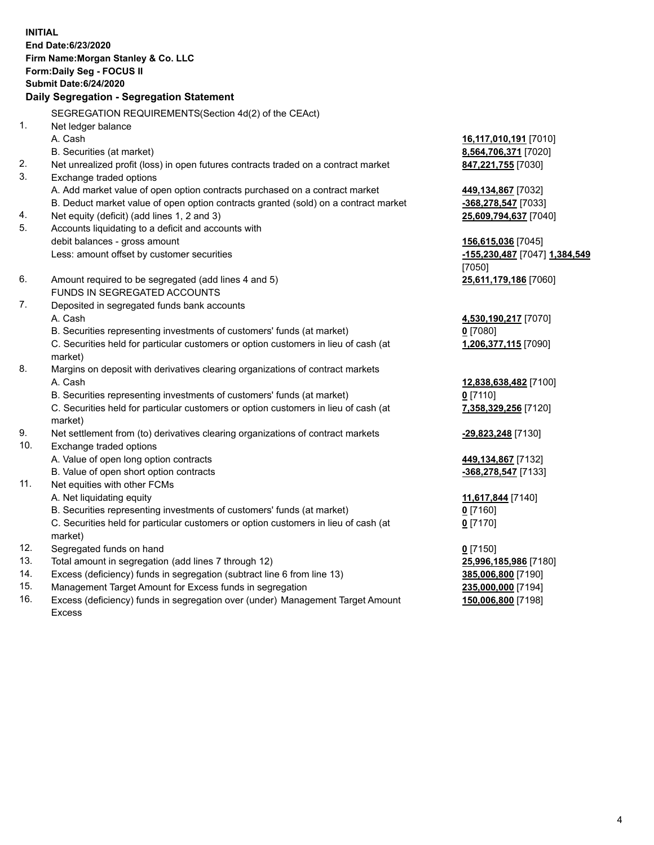**INITIAL End Date:6/23/2020 Firm Name:Morgan Stanley & Co. LLC Form:Daily Seg - FOCUS II Submit Date:6/24/2020 Daily Segregation - Segregation Statement** SEGREGATION REQUIREMENTS(Section 4d(2) of the CEAct) 1. Net ledger balance A. Cash **16,117,010,191** [7010] B. Securities (at market) **8,564,706,371** [7020] 2. Net unrealized profit (loss) in open futures contracts traded on a contract market **847,221,755** [7030] 3. Exchange traded options A. Add market value of open option contracts purchased on a contract market **449,134,867** [7032] B. Deduct market value of open option contracts granted (sold) on a contract market **-368,278,547** [7033] 4. Net equity (deficit) (add lines 1, 2 and 3) **25,609,794,637** [7040] 5. Accounts liquidating to a deficit and accounts with debit balances - gross amount **156,615,036** [7045] Less: amount offset by customer securities **-155,230,487** [7047] **1,384,549** [7050] 6. Amount required to be segregated (add lines 4 and 5) **25,611,179,186** [7060] FUNDS IN SEGREGATED ACCOUNTS 7. Deposited in segregated funds bank accounts A. Cash **4,530,190,217** [7070] B. Securities representing investments of customers' funds (at market) **0** [7080] C. Securities held for particular customers or option customers in lieu of cash (at market) **1,206,377,115** [7090] 8. Margins on deposit with derivatives clearing organizations of contract markets A. Cash **12,838,638,482** [7100] B. Securities representing investments of customers' funds (at market) **0** [7110] C. Securities held for particular customers or option customers in lieu of cash (at market) **7,358,329,256** [7120] 9. Net settlement from (to) derivatives clearing organizations of contract markets **-29,823,248** [7130] 10. Exchange traded options A. Value of open long option contracts **449,134,867** [7132] B. Value of open short option contracts **-368,278,547** [7133] 11. Net equities with other FCMs A. Net liquidating equity **11,617,844** [7140] B. Securities representing investments of customers' funds (at market) **0** [7160] C. Securities held for particular customers or option customers in lieu of cash (at market) **0** [7170] 12. Segregated funds on hand **0** [7150] 13. Total amount in segregation (add lines 7 through 12) **25,996,185,986** [7180] 14. Excess (deficiency) funds in segregation (subtract line 6 from line 13) **385,006,800** [7190] 15. Management Target Amount for Excess funds in segregation **235,000,000** [7194]

16. Excess (deficiency) funds in segregation over (under) Management Target Amount Excess

**150,006,800** [7198]